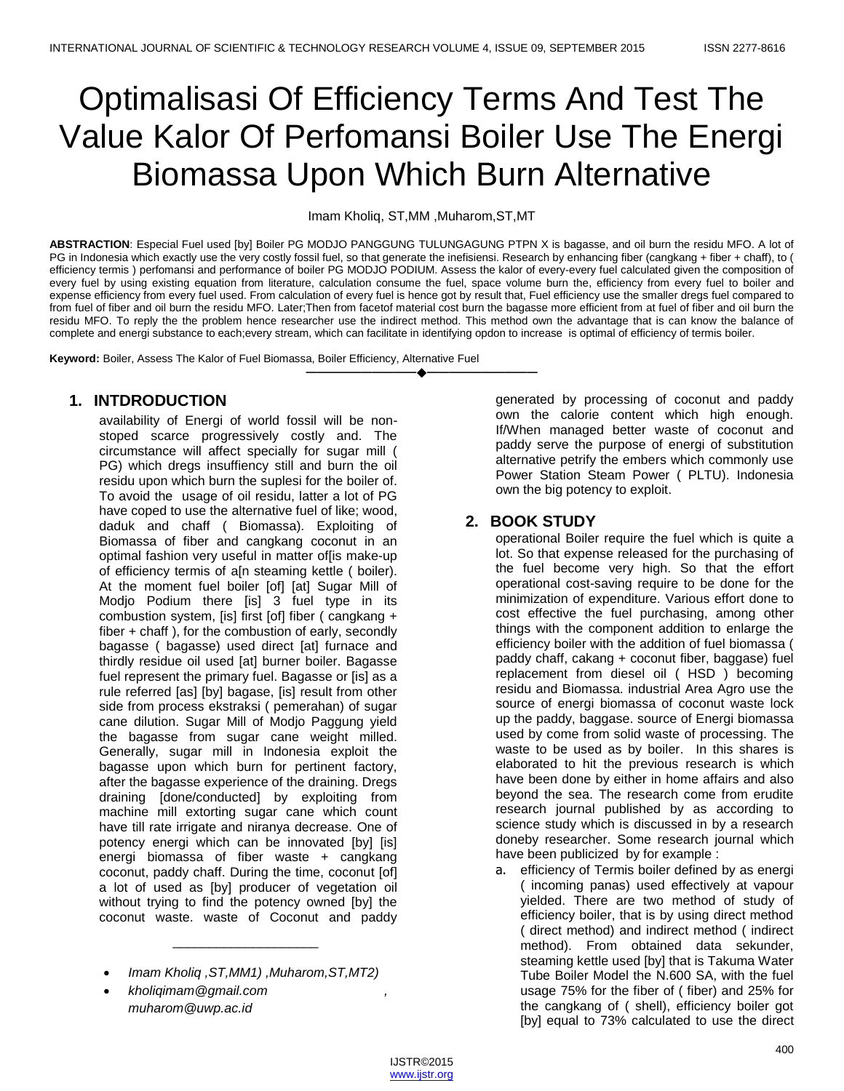# Optimalisasi Of Efficiency Terms And Test The Value Kalor Of Perfomansi Boiler Use The Energi Biomassa Upon Which Burn Alternative

Imam Kholiq, ST,MM ,Muharom,ST,MT

**ABSTRACTION**: Especial Fuel used [by] Boiler PG MODJO PANGGUNG TULUNGAGUNG PTPN X is bagasse, and oil burn the residu MFO. A lot of PG in Indonesia which exactly use the very costly fossil fuel, so that generate the inefisiensi. Research by enhancing fiber (cangkang + fiber + chaff), to ( efficiency termis ) perfomansi and performance of boiler PG MODJO PODIUM. Assess the kalor of every-every fuel calculated given the composition of every fuel by using existing equation from literature, calculation consume the fuel, space volume burn the, efficiency from every fuel to boiler and expense efficiency from every fuel used. From calculation of every fuel is hence got by result that, Fuel efficiency use the smaller dregs fuel compared to from fuel of fiber and oil burn the residu MFO. Later;Then from facetof material cost burn the bagasse more efficient from at fuel of fiber and oil burn the residu MFO. To reply the the problem hence researcher use the indirect method. This method own the advantage that is can know the balance of complete and energi substance to each;every stream, which can facilitate in identifying opdon to increase is optimal of efficiency of termis boiler.

**————————————————————**

**Keyword:** Boiler, Assess The Kalor of Fuel Biomassa, Boiler Efficiency, Alternative Fuel

# **1. INTDRODUCTION**

availability of Energi of world fossil will be nonstoped scarce progressively costly and. The circumstance will affect specially for sugar mill ( PG) which dregs insuffiency still and burn the oil residu upon which burn the suplesi for the boiler of. To avoid the usage of oil residu, latter a lot of PG have coped to use the alternative fuel of like; wood, daduk and chaff ( Biomassa). Exploiting of Biomassa of fiber and cangkang coconut in an optimal fashion very useful in matter of[is make-up of efficiency termis of a[n steaming kettle ( boiler). At the moment fuel boiler [of] [at] Sugar Mill of Modjo Podium there [is] 3 fuel type in its combustion system, [is] first [of] fiber ( cangkang + fiber + chaff ), for the combustion of early, secondly bagasse ( bagasse) used direct [at] furnace and thirdly residue oil used [at] burner boiler. Bagasse fuel represent the primary fuel. Bagasse or [is] as a rule referred [as] [by] bagase, [is] result from other side from process ekstraksi ( pemerahan) of sugar cane dilution. Sugar Mill of Modjo Paggung yield the bagasse from sugar cane weight milled. Generally, sugar mill in Indonesia exploit the bagasse upon which burn for pertinent factory, after the bagasse experience of the draining. Dregs draining [done/conducted] by exploiting from machine mill extorting sugar cane which count have till rate irrigate and niranya decrease. One of potency energi which can be innovated [by] [is] energi biomassa of fiber waste + cangkang coconut, paddy chaff. During the time, coconut [of] a lot of used as [by] producer of vegetation oil without trying to find the potency owned [by] the coconut waste. waste of Coconut and paddy

*Imam Kholiq ,ST,MM1) ,Muharom,ST,MT2)*

\_\_\_\_\_\_\_\_\_\_\_\_\_\_\_\_\_\_\_\_

 *kholiqimam@gmail.com , muharom@uwp.ac.id*

generated by processing of coconut and paddy own the calorie content which high enough. If/When managed better waste of coconut and paddy serve the purpose of energi of substitution alternative petrify the embers which commonly use Power Station Steam Power ( PLTU). Indonesia own the big potency to exploit.

## **2. BOOK STUDY**

operational Boiler require the fuel which is quite a lot. So that expense released for the purchasing of the fuel become very high. So that the effort operational cost-saving require to be done for the minimization of expenditure. Various effort done to cost effective the fuel purchasing, among other things with the component addition to enlarge the efficiency boiler with the addition of fuel biomassa ( paddy chaff, cakang + coconut fiber, baggase) fuel replacement from diesel oil ( HSD ) becoming residu and Biomassa. industrial Area Agro use the source of energi biomassa of coconut waste lock up the paddy, baggase. source of Energi biomassa used by come from solid waste of processing. The waste to be used as by boiler. In this shares is elaborated to hit the previous research is which have been done by either in home affairs and also beyond the sea. The research come from erudite research journal published by as according to science study which is discussed in by a research doneby researcher. Some research journal which have been publicized by for example :

a. efficiency of Termis boiler defined by as energi ( incoming panas) used effectively at vapour yielded. There are two method of study of efficiency boiler, that is by using direct method ( direct method) and indirect method ( indirect method). From obtained data sekunder, steaming kettle used [by] that is Takuma Water Tube Boiler Model the N.600 SA, with the fuel usage 75% for the fiber of ( fiber) and 25% for the cangkang of ( shell), efficiency boiler got [by] equal to 73% calculated to use the direct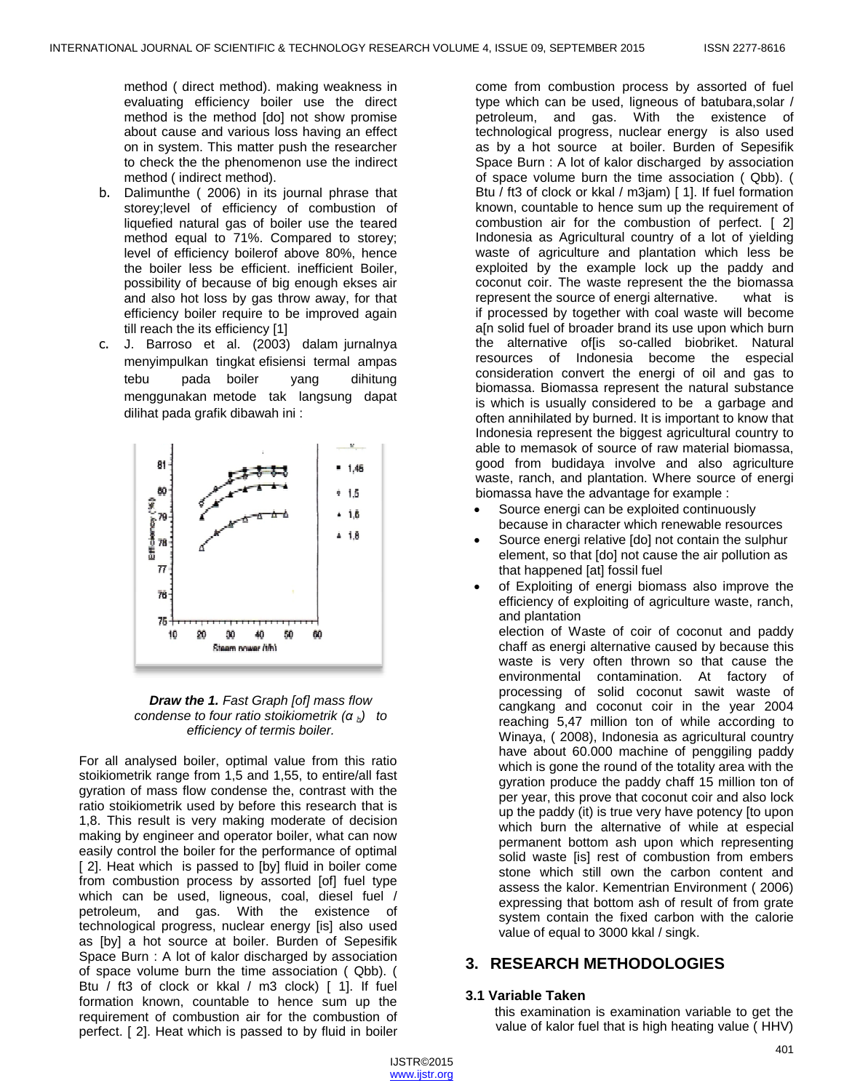method ( direct method). making weakness in evaluating efficiency boiler use the direct method is the method [do] not show promise about cause and various loss having an effect on in system. This matter push the researcher to check the the phenomenon use the indirect method ( indirect method).

- b. Dalimunthe ( 2006) in its journal phrase that storey;level of efficiency of combustion of liquefied natural gas of boiler use the teared method equal to 71%. Compared to storey; level of efficiency boilerof above 80%, hence the boiler less be efficient. inefficient Boiler, possibility of because of big enough ekses air and also hot loss by gas throw away, for that efficiency boiler require to be improved again till reach the its efficiency [1]
- c. J. Barroso et al. (2003) dalam jurnalnya menyimpulkan tingkat efisiensi termal ampas tebu pada boiler yang dihitung menggunakan metode tak langsung dapat dilihat pada grafik dibawah ini :





For all analysed boiler, optimal value from this ratio stoikiometrik range from 1,5 and 1,55, to entire/all fast gyration of mass flow condense the, contrast with the ratio stoikiometrik used by before this research that is 1,8. This result is very making moderate of decision making by engineer and operator boiler, what can now easily control the boiler for the performance of optimal [ 2]. Heat which is passed to [by] fluid in boiler come from combustion process by assorted [of] fuel type which can be used, ligneous, coal, diesel fuel / petroleum, and gas. With the existence of technological progress, nuclear energy [is] also used as [by] a hot source at boiler. Burden of Sepesifik Space Burn : A lot of kalor discharged by association of space volume burn the time association ( Qbb). ( Btu / ft3 of clock or kkal / m3 clock) [ 1]. If fuel formation known, countable to hence sum up the requirement of combustion air for the combustion of perfect. [ 2]. Heat which is passed to by fluid in boiler

come from combustion process by assorted of fuel type which can be used, ligneous of batubara,solar / petroleum, and gas. With the existence of technological progress, nuclear energy is also used as by a hot source at boiler. Burden of Sepesifik Space Burn : A lot of kalor discharged by association of space volume burn the time association ( Qbb). ( Btu / ft3 of clock or kkal / m3jam) [ 1]. If fuel formation known, countable to hence sum up the requirement of combustion air for the combustion of perfect. [ 2] Indonesia as Agricultural country of a lot of yielding waste of agriculture and plantation which less be exploited by the example lock up the paddy and coconut coir. The waste represent the the biomassa represent the source of energi alternative. what is if processed by together with coal waste will become a[n solid fuel of broader brand its use upon which burn the alternative offis so-called biobriket. Natural resources of Indonesia become the especial consideration convert the energi of oil and gas to biomassa. Biomassa represent the natural substance is which is usually considered to be a garbage and often annihilated by burned. It is important to know that Indonesia represent the biggest agricultural country to able to memasok of source of raw material biomassa, good from budidaya involve and also agriculture waste, ranch, and plantation. Where source of energi biomassa have the advantage for example :

- Source energi can be exploited continuously because in character which renewable resources
- Source energi relative [do] not contain the sulphur element, so that [do] not cause the air pollution as that happened [at] fossil fuel
- of Exploiting of energi biomass also improve the efficiency of exploiting of agriculture waste, ranch, and plantation

election of Waste of coir of coconut and paddy chaff as energi alternative caused by because this waste is very often thrown so that cause the environmental contamination. At factory of processing of solid coconut sawit waste of cangkang and coconut coir in the year 2004 reaching 5,47 million ton of while according to Winaya, ( 2008), Indonesia as agricultural country have about 60.000 machine of penggiling paddy which is gone the round of the totality area with the gyration produce the paddy chaff 15 million ton of per year, this prove that coconut coir and also lock up the paddy (it) is true very have potency [to upon which burn the alternative of while at especial permanent bottom ash upon which representing solid waste [is] rest of combustion from embers stone which still own the carbon content and assess the kalor. Kementrian Environment ( 2006) expressing that bottom ash of result of from grate system contain the fixed carbon with the calorie value of equal to 3000 kkal / singk.

# **3. RESEARCH METHODOLOGIES**

# **3.1 Variable Taken**

this examination is examination variable to get the value of kalor fuel that is high heating value ( HHV)

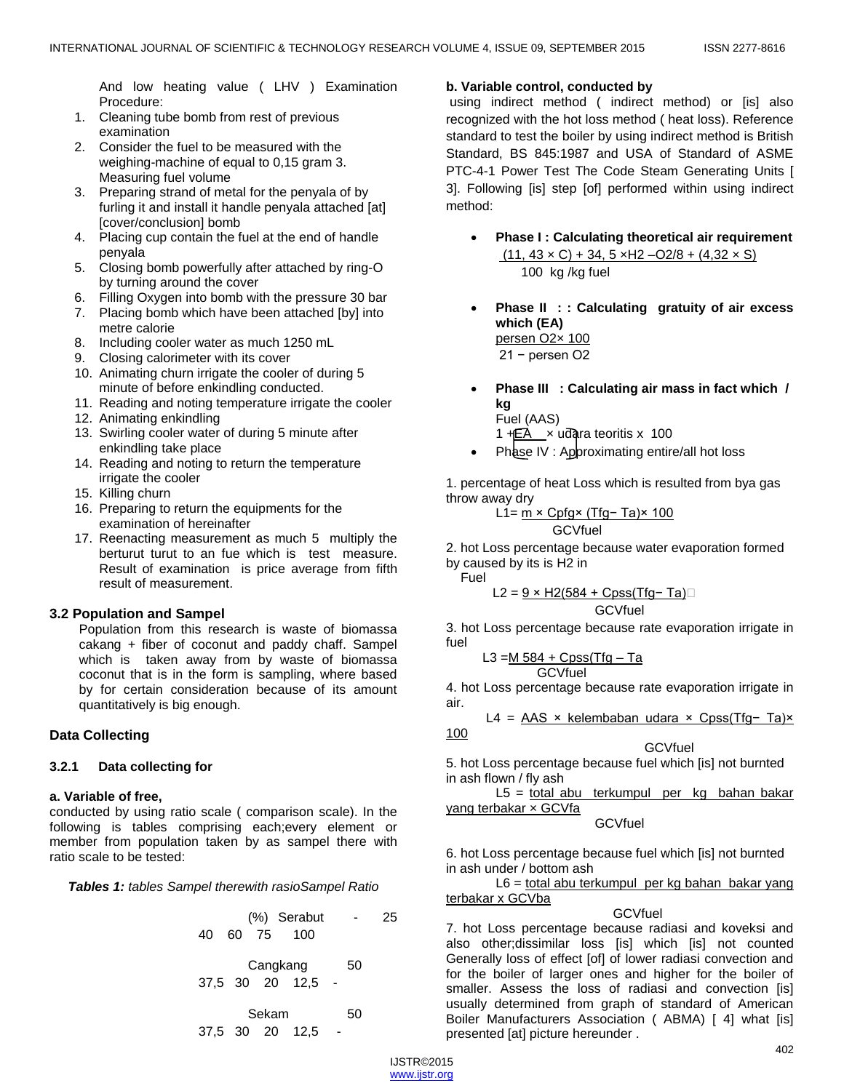And low heating value ( LHV ) Examination Procedure:

- 1. Cleaning tube bomb from rest of previous examination
- 2. Consider the fuel to be measured with the weighing-machine of equal to 0,15 gram 3. Measuring fuel volume
- 3. Preparing strand of metal for the penyala of by furling it and install it handle penyala attached [at] [cover/conclusion] bomb
- 4. Placing cup contain the fuel at the end of handle penyala
- 5. Closing bomb powerfully after attached by ring-O by turning around the cover
- 6. Filling Oxygen into bomb with the pressure 30 bar
- 7. Placing bomb which have been attached [by] into metre calorie
- 8. Including cooler water as much 1250 mL
- 9. Closing calorimeter with its cover
- 10. Animating churn irrigate the cooler of during 5 minute of before enkindling conducted.
- 11. Reading and noting temperature irrigate the cooler
- 12. Animating enkindling
- 13. Swirling cooler water of during 5 minute after enkindling take place
- 14. Reading and noting to return the temperature irrigate the cooler
- 15. Killing churn
- 16. Preparing to return the equipments for the examination of hereinafter
- 17. Reenacting measurement as much 5 multiply the berturut turut to an fue which is test measure. Result of examination is price average from fifth result of measurement.

# **3.2 Population and Sampel**

Population from this research is waste of biomassa cakang + fiber of coconut and paddy chaff. Sampel which is taken away from by waste of biomassa coconut that is in the form is sampling, where based by for certain consideration because of its amount quantitatively is big enough.

# **Data Collecting**

## **3.2.1 Data collecting for**

## **a. Variable of free,**

conducted by using ratio scale ( comparison scale). In the following is tables comprising each;every element or member from population taken by as sampel there with ratio scale to be tested:

*Tables 1: tables Sampel therewith rasioSampel Ratio*

|  | (%) Serabut  | $\sim$ $\sim$ | 25 |
|--|--------------|---------------|----|
|  | 40 60 75 100 |               |    |

Cangkang 50 37,5 30 20 12,5 -

Sekam 50 37,5 30 20 12,5 -

## **b. Variable control, conducted by**

using indirect method ( indirect method) or [is] also recognized with the hot loss method ( heat loss). Reference standard to test the boiler by using indirect method is British Standard, BS 845:1987 and USA of Standard of ASME PTC-4-1 Power Test The Code Steam Generating Units [ 3]. Following [is] step [of] performed within using indirect method:

- **Phase I : Calculating theoretical air requirement**  $(11, 43 \times C) + 34, 5 \times H2 - O2/8 + (4, 32 \times S)$ 100 kg /kg fuel
- **Phase II : : Calculating gratuity of air excess which (EA)** persen O2× 100 21 − persen O2
- **Phase III : Calculating air mass in fact which / kg** Fuel (AAS)
	- 1  $+E\overline{A}$  x udara teoritis x 100
- Phase IV : Approximating entire/all hot loss

1. percentage of heat Loss which is resulted from bya gas throw away dry

$$
Li = \frac{m \times Cpfg \times (Tfg - Ta) \times 100}{\text{GCVfuel}}
$$

2. hot Loss percentage because water evaporation formed by caused by its is H2 in

Fuel

$$
L2 = \underline{9 \times H2(584 + Cpss(Tfg - Ta)}\square
$$

GCVfuel

3. hot Loss percentage because rate evaporation irrigate in fuel

 L3 =M 584 + Cpss(Tfg – Ta GCVfuel

4. hot Loss percentage because rate evaporation irrigate in air.

$$
L4 = \underline{AAS \times kelembaban udara \times Cpss(Tfg-Ta)x}
$$
100

**GCVfuel** 

5. hot Loss percentage because fuel which [is] not burnted in ash flown / fly ash

L5 = total abu terkumpul per kg bahan bakar yang terbakar x GCVfa

## GCVfuel

6. hot Loss percentage because fuel which [is] not burnted in ash under / bottom ash

L6 = total abu terkumpul per kg bahan bakar yang terbakar x GCVba

#### **GCVfuel**

7. hot Loss percentage because radiasi and koveksi and also other;dissimilar loss [is] which [is] not counted Generally loss of effect [of] of lower radiasi convection and for the boiler of larger ones and higher for the boiler of smaller. Assess the loss of radiasi and convection [is] usually determined from graph of standard of American Boiler Manufacturers Association ( ABMA) [ 4] what [is] presented [at] picture hereunder .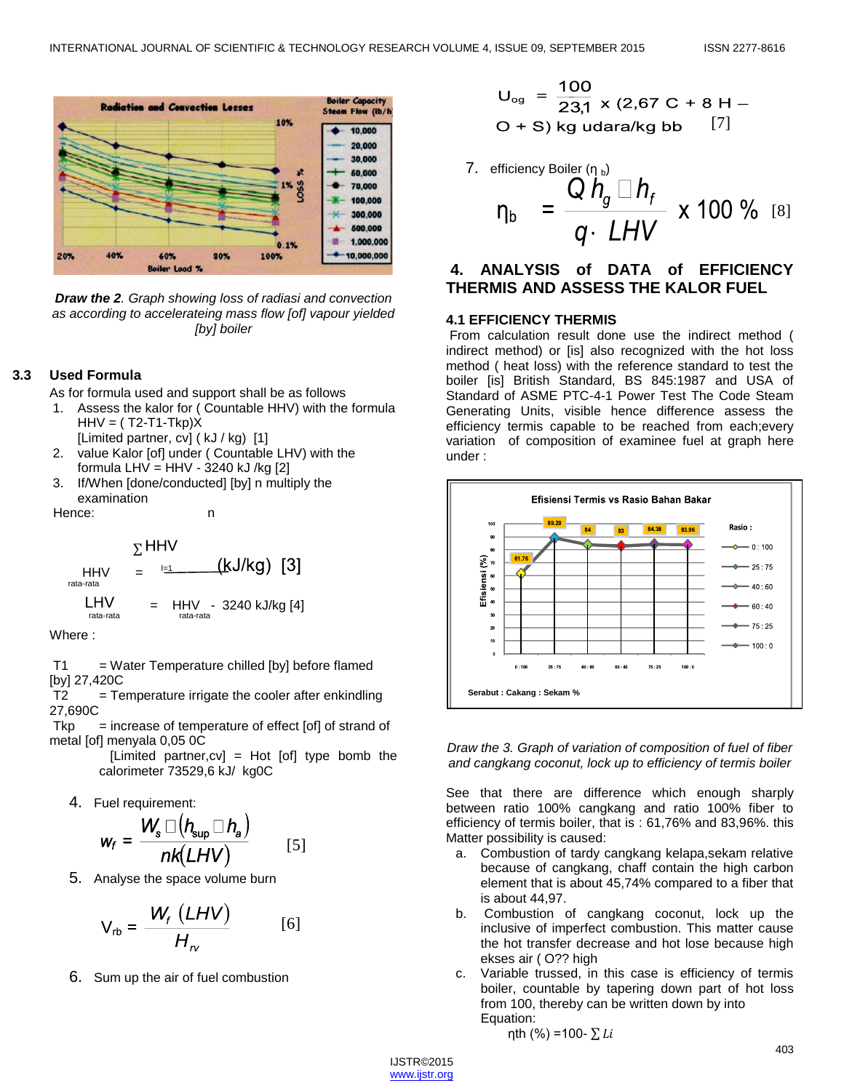

*Draw the 2. Graph showing loss of radiasi and convection as according to accelerateing mass flow [of] vapour yielded [by] boiler*

#### **3.3 Used Formula**

As for formula used and support shall be as follows

- 1. Assess the kalor for ( Countable HHV) with the formula  $HHV = (T2-T1-Tkp)X$
- [Limited partner, cv] (kJ / kg) [1] 2. value Kalor [of] under ( Countable LHV) with the
- formula LHV = HHV 3240 kJ /kg  $[2]$
- 3. If/When [done/conducted] [by] n multiply the examination

Hence: n n

$$
\Sigma HHV
$$
  
\n
$$
HHV = \frac{[H]}{[H]} = \frac{[KJ/kg]}{[3]}
$$
  
\n
$$
LHV = HHV - 3240 \text{ kJ/kg [4]}
$$
  
\n
$$
Tata-rata
$$

Where :

 $T1 = Water Temperature child [by] before flamed$ [by] 27,420C

 $T2 = T$ emperature irrigate the cooler after enkindling 27,690C

 $Tkp =$  increase of temperature of effect [of] of strand of metal [of] menyala 0,05 0C

> [Limited partner,cv] = Hot [of] type bomb the calorimeter 73529,6 kJ/ kg0C

4. Fuel requirement:

$$
w_f = \frac{W_s \square (h_{\sup} \square h_a)}{nk(LHV)} \qquad [5]
$$

5. Analyse the space volume burn

$$
V_{rb} = \frac{W_f (LHV)}{H_{rv}} \qquad [6]
$$

6. Sum up the air of fuel combustion

$$
U_{og} = \frac{100}{23,1} \times (2,67 \text{ C} + 8 \text{ H} -
$$
  
O + S) kg udara/kg bb [7]

7. efficiency Boiler (η<sub>b</sub>)  
\n
$$
\eta_b = \frac{Q h_g \Box h_f}{q \cdot LHV} \times 100 \% \text{ [8]}
$$

# **4. ANALYSIS of DATA of EFFICIENCY THERMIS AND ASSESS THE KALOR FUEL**

#### **4.1 EFFICIENCY THERMIS**

From calculation result done use the indirect method ( indirect method) or [is] also recognized with the hot loss method ( heat loss) with the reference standard to test the boiler [is] British Standard, BS 845:1987 and USA of Standard of ASME PTC-4-1 Power Test The Code Steam Generating Units, visible hence difference assess the efficiency termis capable to be reached from each;every variation of composition of examinee fuel at graph here under :



*Draw the 3. Graph of variation of composition of fuel of fiber and cangkang coconut, lock up to efficiency of termis boiler*

See that there are difference which enough sharply between ratio 100% cangkang and ratio 100% fiber to efficiency of termis boiler, that is : 61,76% and 83,96%. this Matter possibility is caused:

- a. Combustion of tardy cangkang kelapa,sekam relative because of cangkang, chaff contain the high carbon element that is about 45,74% compared to a fiber that is about 44,97.
- b. Combustion of cangkang coconut, lock up the inclusive of imperfect combustion. This matter cause the hot transfer decrease and hot lose because high ekses air ( O?? high
- c. Variable trussed, in this case is efficiency of termis boiler, countable by tapering down part of hot loss from 100, thereby can be written down by into Equation:

$$
η
$$
th (%) =100-  $Σ Li$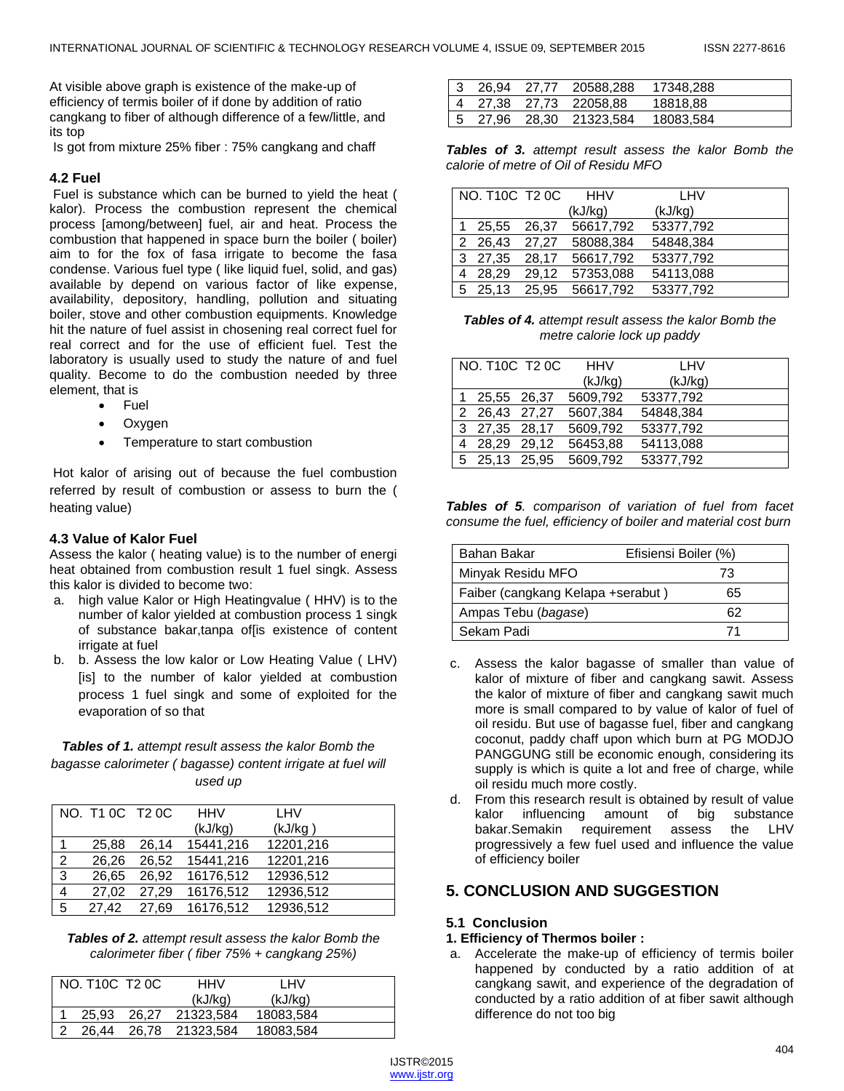At visible above graph is existence of the make-up of efficiency of termis boiler of if done by addition of ratio cangkang to fiber of although difference of a few/little, and its top

Is got from mixture 25% fiber : 75% cangkang and chaff

## **4.2 Fuel**

Fuel is substance which can be burned to yield the heat ( kalor). Process the combustion represent the chemical process [among/between] fuel, air and heat. Process the combustion that happened in space burn the boiler ( boiler) aim to for the fox of fasa irrigate to become the fasa condense. Various fuel type ( like liquid fuel, solid, and gas) available by depend on various factor of like expense, availability, depository, handling, pollution and situating boiler, stove and other combustion equipments. Knowledge hit the nature of fuel assist in chosening real correct fuel for real correct and for the use of efficient fuel. Test the laboratory is usually used to study the nature of and fuel quality. Become to do the combustion needed by three element, that is

- Fuel
- Oxygen
- Temperature to start combustion

Hot kalor of arising out of because the fuel combustion referred by result of combustion or assess to burn the ( heating value)

## **4.3 Value of Kalor Fuel**

Assess the kalor ( heating value) is to the number of energi heat obtained from combustion result 1 fuel singk. Assess this kalor is divided to become two:

- a. high value Kalor or High Heatingvalue ( HHV) is to the number of kalor yielded at combustion process 1 singk of substance bakar,tanpa of[is existence of content irrigate at fuel
- b. b. Assess the low kalor or Low Heating Value ( LHV) [is] to the number of kalor yielded at combustion process 1 fuel singk and some of exploited for the evaporation of so that

## *Tables of 1. attempt result assess the kalor Bomb the bagasse calorimeter ( bagasse) content irrigate at fuel will used up*

|                | NO. T1 0C T2 0C |       | <b>HHV</b> | LHV       |  |
|----------------|-----------------|-------|------------|-----------|--|
|                |                 |       | (kJ/kg)    | (kJ/kg)   |  |
|                | 25.88           | 26.14 | 15441.216  | 12201,216 |  |
| $\overline{2}$ | 26.26           | 26.52 | 15441.216  | 12201,216 |  |
| $\overline{3}$ | 26.65           | 26.92 | 16176,512  | 12936,512 |  |
| $\overline{4}$ | 27.02           | 27.29 | 16176,512  | 12936,512 |  |
| $5^{\circ}$    | 27.42           | 27.69 | 16176,512  | 12936,512 |  |

*Tables of 2. attempt result assess the kalor Bomb the calorimeter fiber ( fiber 75% + cangkang 25%)*

| NO. T10C T2 0C | HHV             | LHV       |  |
|----------------|-----------------|-----------|--|
|                | (kJ/kg)         | (kJ/kg)   |  |
| 25.93          | 26.27 21323.584 | 18083,584 |  |
| 26.44          | 26,78 21323,584 | 18083,584 |  |

|  | 26,94 27,77 20588,288   | 17348.288 |
|--|-------------------------|-----------|
|  | 4 27,38 27,73 22058,88  | 18818.88  |
|  | 5 27,96 28,30 21323,584 | 18083,584 |

*Tables of 3. attempt result assess the kalor Bomb the calorie of metre of Oil of Residu MFO*

| NO. T10C T2 0C |       | <b>HHV</b> | LHV       |  |
|----------------|-------|------------|-----------|--|
|                |       | (kJ/kg)    | (kJ/kg)   |  |
| 1 25.55 26.37  |       | 56617,792  | 53377,792 |  |
| 2 26,43 27,27  |       | 58088,384  | 54848,384 |  |
| 3 27,35 28,17  |       | 56617,792  | 53377,792 |  |
| 4 28.29        | 29.12 | 57353,088  | 54113,088 |  |
| 5 25,13 25,95  |       | 56617,792  | 53377,792 |  |

*Tables of 4. attempt result assess the kalor Bomb the metre calorie lock up paddy*

|               | NO. T10C T2 0C | <b>HHV</b> | LHV       |  |
|---------------|----------------|------------|-----------|--|
|               |                | (kJ/kg)    | (kJ/kg)   |  |
| 1 25,55 26,37 |                | 5609,792   | 53377,792 |  |
| 2 26,43 27,27 |                | 5607,384   | 54848,384 |  |
| 3 27,35 28,17 |                | 5609,792   | 53377,792 |  |
| 4 28.29 29.12 |                | 56453,88   | 54113,088 |  |
|               | 5 25,13 25,95  | 5609,792   | 53377,792 |  |

*Tables of 5. comparison of variation of fuel from facet consume the fuel, efficiency of boiler and material cost burn*

| Bahan Bakar                       | Efisiensi Boiler (%) |
|-----------------------------------|----------------------|
| Minyak Residu MFO                 | 73                   |
| Faiber (cangkang Kelapa +serabut) | 65                   |
| Ampas Tebu (bagase)               | 62                   |
| Sekam Padi                        |                      |

- c. Assess the kalor bagasse of smaller than value of kalor of mixture of fiber and cangkang sawit. Assess the kalor of mixture of fiber and cangkang sawit much more is small compared to by value of kalor of fuel of oil residu. But use of bagasse fuel, fiber and cangkang coconut, paddy chaff upon which burn at PG MODJO PANGGUNG still be economic enough, considering its supply is which is quite a lot and free of charge, while oil residu much more costly.
- d. From this research result is obtained by result of value kalor influencing amount of big substance bakar.Semakin requirement assess the LHV progressively a few fuel used and influence the value of efficiency boiler

# **5. CONCLUSION AND SUGGESTION**

## **5.1 Conclusion**

#### **1. Efficiency of Thermos boiler :**

a. Accelerate the make-up of efficiency of termis boiler happened by conducted by a ratio addition of at cangkang sawit, and experience of the degradation of conducted by a ratio addition of at fiber sawit although difference do not too big